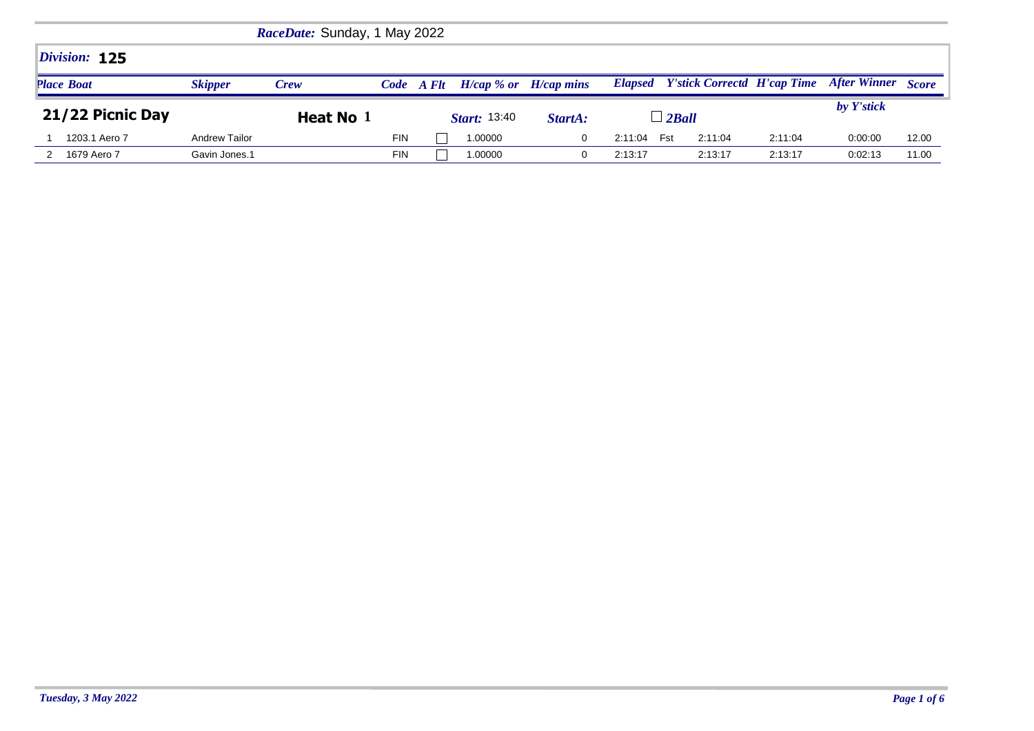| RaceDate: Sunday, 1 May 2022 |                |             |            |            |                           |         |         |                                            |         |                    |       |
|------------------------------|----------------|-------------|------------|------------|---------------------------|---------|---------|--------------------------------------------|---------|--------------------|-------|
| Division: 125                |                |             |            |            |                           |         |         |                                            |         |                    |       |
| <b>Place Boat</b>            | <b>Skipper</b> | <b>Crew</b> |            | Code A Flt | $H/cap$ % or $H/cap$ mins |         |         | <b>Elapsed</b> Y'stick Correctd H'cap Time |         | After Winner Score |       |
| 21/22 Picnic Day             |                | Heat No 1   |            |            | <i>Start:</i> 13:40       | StartA: |         | $\perp$ 2 Ball                             |         | by Y'stick         |       |
| 1203.1 Aero 7                | Andrew Tailor  |             | <b>FIN</b> |            | 1.00000                   |         | 2:11:04 | Fst<br>2:11:04                             | 2:11:04 | 0:00:00            | 12.00 |
| 1679 Aero 7                  | Gavin Jones.1  |             | <b>FIN</b> |            | 1.00000                   |         | 2:13:17 | 2:13:17                                    | 2:13:17 | 0:02:13            | 11.00 |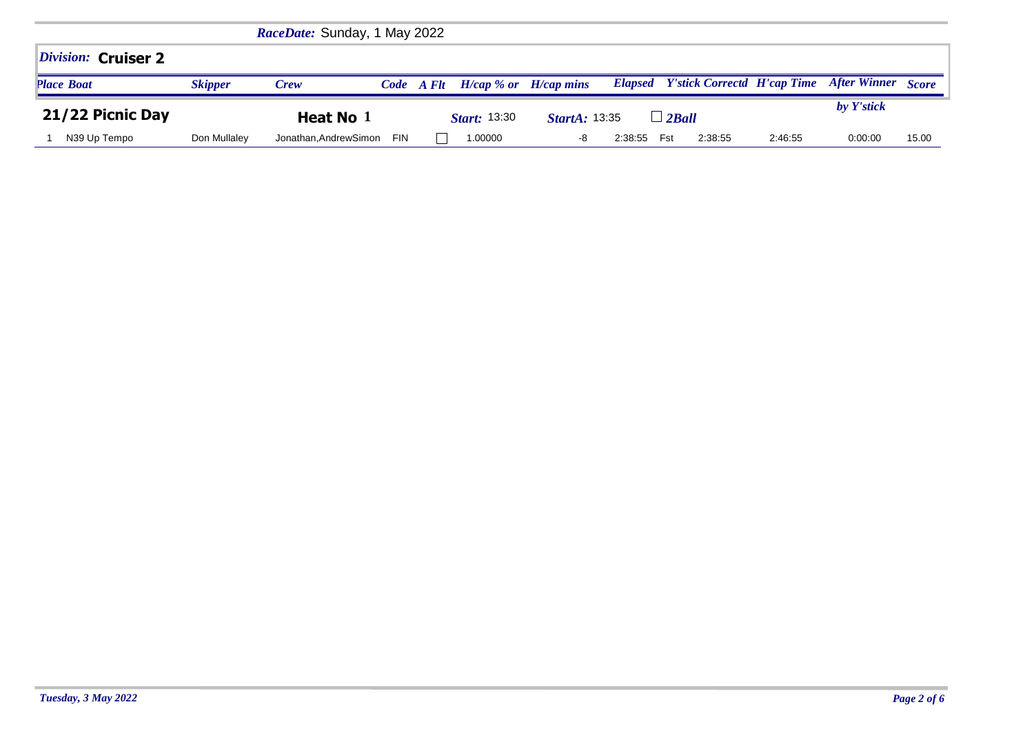| RaceDate: Sunday, 1 May 2022 |                |                      |            |            |                           |                      |         |     |                                            |         |                           |       |
|------------------------------|----------------|----------------------|------------|------------|---------------------------|----------------------|---------|-----|--------------------------------------------|---------|---------------------------|-------|
| Division: Cruiser 2          |                |                      |            |            |                           |                      |         |     |                                            |         |                           |       |
| <b>Place Boat</b>            | <b>Skipper</b> | Crew                 |            | Code A Flt | $H/cap$ % or $H/cap$ mins |                      |         |     | <b>Elapsed</b> Y'stick Correctd H'cap Time |         | <b>After Winner</b> Score |       |
| 21/22 Picnic Day             |                | Heat No 1            |            |            | <b>Start:</b> 13:30       | <b>StartA: 13:35</b> |         |     | $\Box$ 2Ball                               |         | by Y'stick                |       |
| N39 Up Tempo                 | Don Mullaley   | Jonathan.AndrewSimon | <b>FIN</b> |            | 1.00000                   | -8                   | 2:38:55 | Fst | 2:38:55                                    | 2:46:55 | 0:00:00                   | 15.00 |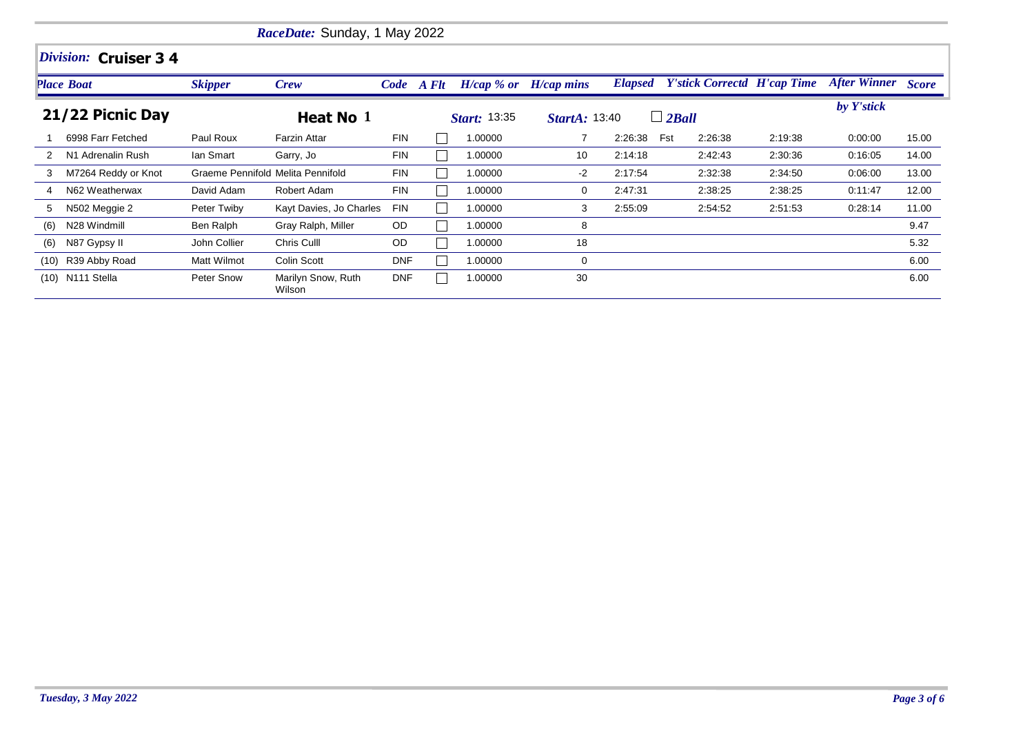|      | RaceDate: Sunday, 1 May 2022 |                |                                   |            |  |                     |                           |         |                                            |         |                           |       |  |  |
|------|------------------------------|----------------|-----------------------------------|------------|--|---------------------|---------------------------|---------|--------------------------------------------|---------|---------------------------|-------|--|--|
|      | Division: Cruiser 34         |                |                                   |            |  |                     |                           |         |                                            |         |                           |       |  |  |
|      | Place Boat                   | <b>Skipper</b> | <b>Crew</b>                       | Code A Flt |  |                     | $H/cap$ % or $H/cap$ mins |         | <b>Elapsed</b> Y'stick Correctd H'cap Time |         | <b>After Winner Score</b> |       |  |  |
|      | 21/22 Picnic Day             |                | Heat No 1                         |            |  | <b>Start: 13:35</b> | <b>StartA: 13:40</b>      |         | $\Box$ 2Ball                               |         | by Y'stick                |       |  |  |
|      | 6998 Farr Fetched            | Paul Roux      | <b>Farzin Attar</b>               | <b>FIN</b> |  | 1.00000             |                           | 2:26:38 | Fst<br>2:26:38                             | 2:19:38 | 0:00:00                   | 15.00 |  |  |
| 2    | N1 Adrenalin Rush            | lan Smart      | Garry, Jo                         | <b>FIN</b> |  | 1.00000             | 10                        | 2:14:18 | 2:42:43                                    | 2:30:36 | 0.16:05                   | 14.00 |  |  |
| 3    | M7264 Reddy or Knot          |                | Graeme Pennifold Melita Pennifold | <b>FIN</b> |  | 1.00000             | -2                        | 2:17:54 | 2:32:38                                    | 2:34:50 | 0.06:00                   | 13.00 |  |  |
|      | N62 Weatherwax               | David Adam     | Robert Adam                       | <b>FIN</b> |  | 1.00000             | 0                         | 2:47:31 | 2:38:25                                    | 2:38:25 | 0:11:47                   | 12.00 |  |  |
| 5    | N502 Meggie 2                | Peter Twiby    | Kayt Davies, Jo Charles           | <b>FIN</b> |  | 1.00000             | 3                         | 2:55:09 | 2:54:52                                    | 2:51:53 | 0.28:14                   | 11.00 |  |  |
| (6)  | N28 Windmill                 | Ben Ralph      | Gray Ralph, Miller                | OD         |  | 1.00000             | 8                         |         |                                            |         |                           | 9.47  |  |  |
| (6)  | N87 Gypsy II                 | John Collier   | Chris Culll                       | OD         |  | 1.00000             | 18                        |         |                                            |         |                           | 5.32  |  |  |
| (10) | R39 Abby Road                | Matt Wilmot    | Colin Scott                       | <b>DNF</b> |  | 1.00000             | 0                         |         |                                            |         |                           | 6.00  |  |  |
|      | (10) N111 Stella             | Peter Snow     | Marilyn Snow, Ruth<br>Wilson      | <b>DNF</b> |  | 1.00000             | 30                        |         |                                            |         |                           | 6.00  |  |  |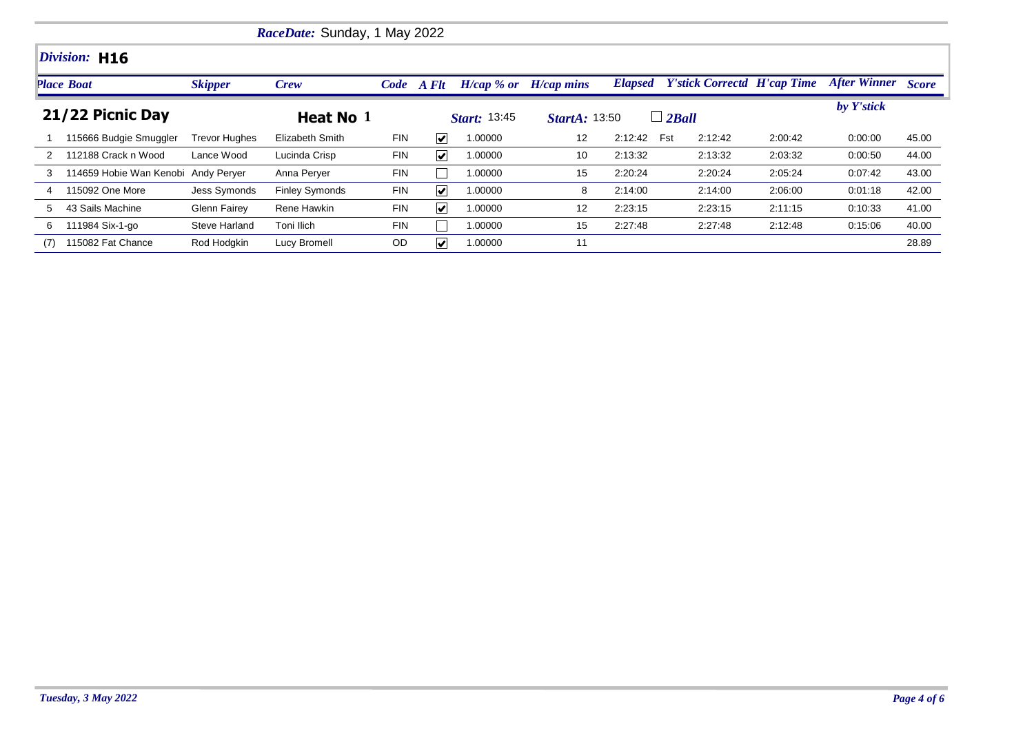|     | <i>RaceDate:</i> Sunday, 1 May 2022 |                      |                       |            |                             |                     |                           |         |                                            |         |                    |       |  |  |  |
|-----|-------------------------------------|----------------------|-----------------------|------------|-----------------------------|---------------------|---------------------------|---------|--------------------------------------------|---------|--------------------|-------|--|--|--|
|     | Division: H16                       |                      |                       |            |                             |                     |                           |         |                                            |         |                    |       |  |  |  |
|     | <b>Place Boat</b>                   | <b>Skipper</b>       | Crew                  |            | Code A Flt                  |                     | $H/cap$ % or $H/cap$ mins |         | <b>Elapsed</b> Y'stick Correctd H'cap Time |         | After Winner Score |       |  |  |  |
|     | 21/22 Picnic Day                    |                      | Heat No 1             |            |                             | <b>Start:</b> 13:45 | <b>StartA: 13:50</b>      |         | $\Box$ 2Ball                               |         | by Y'stick         |       |  |  |  |
|     | 115666 Budgie Smuggler              | <b>Trevor Hughes</b> | Elizabeth Smith       | <b>FIN</b> | $\vert\bm{\mathsf{v}}\vert$ | 1.00000             | $12 \overline{ }$         | 2:12:42 | Fst<br>2:12:42                             | 2:00:42 | 0:00:00            | 45.00 |  |  |  |
| 2   | 112188 Crack n Wood                 | Lance Wood           | Lucinda Crisp         | FIN        | $\vert\bm{\mathsf{v}}\vert$ | 1.00000             | 10                        | 2:13:32 | 2:13:32                                    | 2:03:32 | 0:00:50            | 44.00 |  |  |  |
| 3   | 114659 Hobie Wan Kenobi Andy Perver |                      | Anna Perver           | FIN        |                             | 1.00000             | 15                        | 2:20:24 | 2:20:24                                    | 2:05:24 | 0:07:42            | 43.00 |  |  |  |
| 4   | 115092 One More                     | <b>Jess Symonds</b>  | <b>Finley Symonds</b> | <b>FIN</b> | $\vert\bm{\mathsf{v}}\vert$ | 1.00000             | 8                         | 2:14:00 | 2:14:00                                    | 2:06:00 | 0:01:18            | 42.00 |  |  |  |
| 5   | 43 Sails Machine                    | Glenn Fairey         | Rene Hawkin           | <b>FIN</b> | $\vert\boldsymbol{v}\vert$  | 1.00000             | $12 \overline{ }$         | 2:23:15 | 2:23:15                                    | 2:11:15 | 0:10:33            | 41.00 |  |  |  |
| 6   | 111984 Six-1-go                     | Steve Harland        | Toni Ilich            | <b>FIN</b> |                             | 1.00000             | 15                        | 2:27:48 | 2:27:48                                    | 2:12:48 | 0:15:06            | 40.00 |  |  |  |
| (7) | 115082 Fat Chance                   | Rod Hodgkin          | Lucy Bromell          | <b>OD</b>  | V                           | 1.00000             | 11                        |         |                                            |         |                    | 28.89 |  |  |  |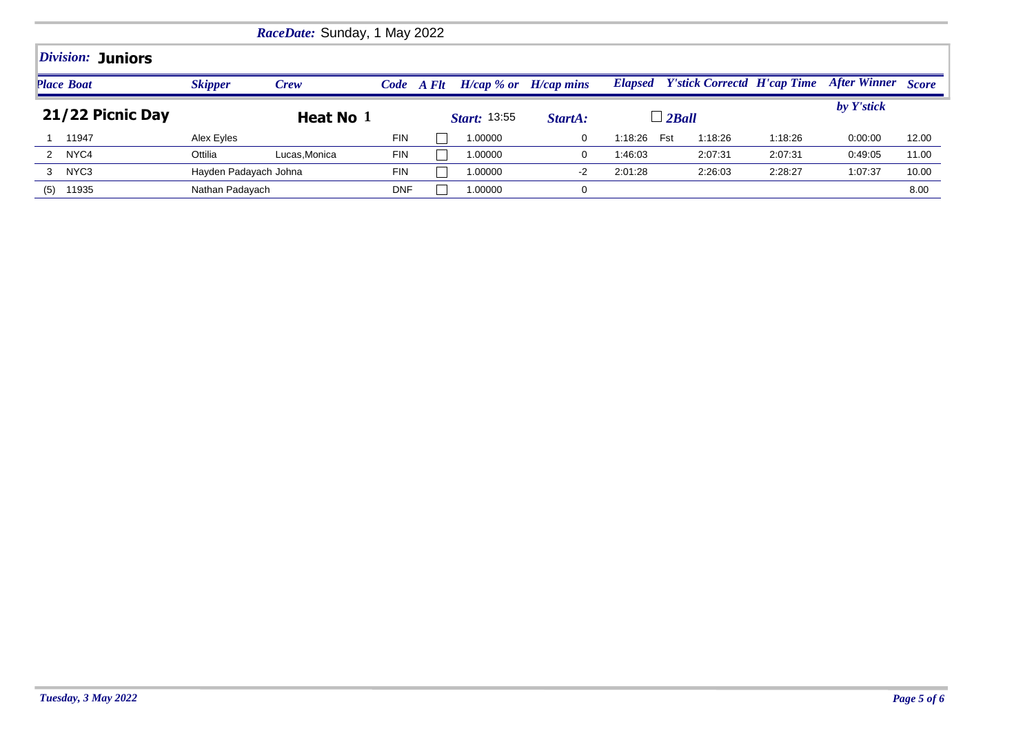| <i>RaceDate:</i> Sunday, 1 May 2022 |                       |              |            |                     |         |                           |                |                                    |         |                           |       |  |  |  |
|-------------------------------------|-----------------------|--------------|------------|---------------------|---------|---------------------------|----------------|------------------------------------|---------|---------------------------|-------|--|--|--|
| Division: Juniors                   |                       |              |            |                     |         |                           |                |                                    |         |                           |       |  |  |  |
| <b>Place Boat</b>                   | <b>Skipper</b>        | <b>Crew</b>  |            | Code A Flt          |         | $H/cap$ % or $H/cap$ mins | <b>Elapsed</b> | <b>Y'stick Correctd H'cap Time</b> |         | <b>After Winner Score</b> |       |  |  |  |
| 21/22 Picnic Day                    | Heat No 1             |              |            | <b>Start: 13:55</b> |         | StartA:                   | $\perp$ 2 Ball |                                    |         | by Y'stick                |       |  |  |  |
| 11947                               | Alex Eyles            |              | <b>FIN</b> |                     | 1.00000 | 0                         | Fst<br>1:18:26 | 1:18:26                            | 1:18:26 | 0:00:00                   | 12.00 |  |  |  |
| NYC4<br>2                           | Ottilia               | Lucas.Monica | <b>FIN</b> |                     | 1.00000 | $\Omega$                  | 1:46:03        | 2:07:31                            | 2:07:31 | 0.49:05                   | 11.00 |  |  |  |
| NYC3<br>3                           | Hayden Padayach Johna |              | <b>FIN</b> |                     | 1.00000 | $-2$                      | 2:01:28        | 2:26:03                            | 2:28:27 | 1:07:37                   | 10.00 |  |  |  |
| 11935<br>(5)                        | Nathan Padayach       |              | <b>DNF</b> |                     | 1.00000 |                           |                |                                    |         |                           | 8.00  |  |  |  |